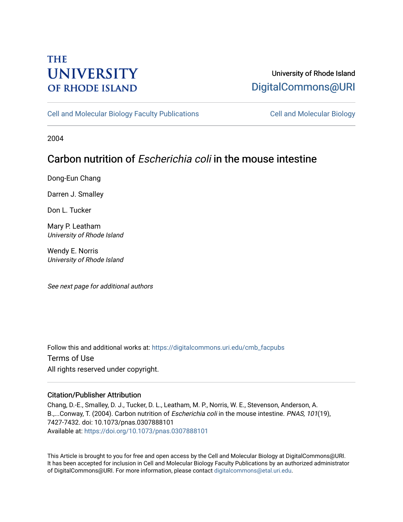# **THE UNIVERSITY OF RHODE ISLAND**

### University of Rhode Island [DigitalCommons@URI](https://digitalcommons.uri.edu/)

[Cell and Molecular Biology Faculty Publications](https://digitalcommons.uri.edu/cmb_facpubs) [Cell and Molecular Biology](https://digitalcommons.uri.edu/cmb) 

2004

## Carbon nutrition of Escherichia coli in the mouse intestine

Dong-Eun Chang

Darren J. Smalley

Don L. Tucker

Mary P. Leatham University of Rhode Island

Wendy E. Norris University of Rhode Island

See next page for additional authors

Follow this and additional works at: [https://digitalcommons.uri.edu/cmb\\_facpubs](https://digitalcommons.uri.edu/cmb_facpubs?utm_source=digitalcommons.uri.edu%2Fcmb_facpubs%2F51&utm_medium=PDF&utm_campaign=PDFCoverPages)  Terms of Use All rights reserved under copyright.

### Citation/Publisher Attribution

Chang, D.-E., Smalley, D. J., Tucker, D. L., Leatham, M. P., Norris, W. E., Stevenson, Anderson, A. B.,...Conway, T. (2004). Carbon nutrition of *Escherichia coli* in the mouse intestine. *PNAS*, 101(19), 7427-7432. doi: 10.1073/pnas.0307888101 Available at:<https://doi.org/10.1073/pnas.0307888101>

This Article is brought to you for free and open access by the Cell and Molecular Biology at DigitalCommons@URI. It has been accepted for inclusion in Cell and Molecular Biology Faculty Publications by an authorized administrator of DigitalCommons@URI. For more information, please contact [digitalcommons@etal.uri.edu](mailto:digitalcommons@etal.uri.edu).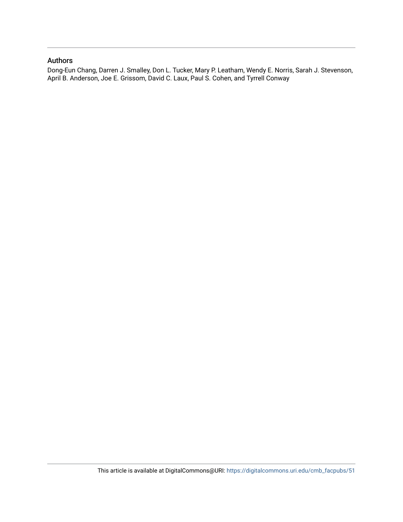### Authors

Dong-Eun Chang, Darren J. Smalley, Don L. Tucker, Mary P. Leatham, Wendy E. Norris, Sarah J. Stevenson, April B. Anderson, Joe E. Grissom, David C. Laux, Paul S. Cohen, and Tyrrell Conway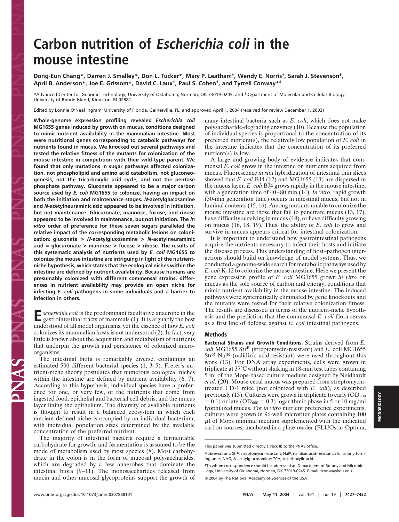# **Carbon nutrition of Escherichia coli in the mouse intestine**

**Dong-Eun Chang\*, Darren J. Smalley\*, Don L. Tucker\*, Mary P. Leatham†, Wendy E. Norris†, Sarah J. Stevenson†, April B. Anderson\*, Joe E. Grissom\*, David C. Laux†, Paul S. Cohen†, and Tyrrell Conway\*‡**

\*Advanced Center for Genome Technology, University of Oklahoma, Norman, OK 73019-0245; and †Department of Molecular and Cellular Biology, University of Rhode Island, Kingston, RI 02881

Edited by Lonnie O'Neal Ingram, University of Florida, Gainesville, FL, and approved April 1, 2004 (received for review December 1, 2003)

**Whole-genome expression profiling revealed** *Escherichia coli* **MG1655 genes induced by growth on mucus, conditions designed to mimic nutrient availability in the mammalian intestine. Most were nutritional genes corresponding to catabolic pathways for nutrients found in mucus. We knocked out several pathways and tested the relative fitness of the mutants for colonization of the mouse intestine in competition with their wild-type parent. We found that only mutations in sugar pathways affected colonization, not phospholipid and amino acid catabolism, not gluconeogenesis, not the tricarboxylic acid cycle, and not the pentose phosphate pathway. Gluconate appeared to be a major carbon source used by** *E. coli* **MG1655 to colonize, having an impact on both the initiation and maintenance stages.** *N***-acetylglucosamine and** *N***-acetylneuraminic acid appeared to be involved in initiation, but not maintenance. Glucuronate, mannose, fucose, and ribose appeared to be involved in maintenance, but not initiation. The** *in vitro* **order of preference for these seven sugars paralleled the relative impact of the corresponding metabolic lesions on colonization: gluconate >** *N***-acetylglucosamine >** *N-***acetylneuraminic acid glucuronate > mannose > fucose > ribose. The results of this systematic analysis of nutrients used by** *E. coli* **MG1655 to colonize the mouse intestine are intriguing in light of the nutrientniche hypothesis, which states that the ecological niches within the intestine are defined by nutrient availability. Because humans are presumably colonized with different commensal strains, differences in nutrient availability may provide an open niche for infecting** *E. coli* **pathogens in some individuals and a barrier to infection in others.**

**E***scherichia coli* is the predominant facultative anaerobe in the pastrointestinal tracts of  $\ddot{x}$ . gastrointestinal tracts of mammals (1). It is arguably the best understood of all model organisms, yet the essence of how *E. coli* colonizes its mammalian hosts is not understood (2). In fact, very little is known about the acquisition and metabolism of nutrients that underpin the growth and persistence of colonized microorganisms.

The intestinal biota is remarkably diverse, containing an estimated 500 different bacterial species (1, 3–5). Freter's nutrient-niche theory postulates that numerous ecological niches within the intestine are defined by nutrient availability (6, 7). According to this hypothesis, individual species have a preference for one, or very few, of the nutrients that come from ingested food, epithelial and bacterial cell debris, and the mucus layer lining the epithelium. The diversity of available nutrients is thought to result in a balanced ecosystem in which each nutrient-defined niche is occupied by an individual bacterium, with individual population sizes determined by the available concentration of the preferred nutrient.

The majority of intestinal bacteria require a fermentable carbohydrate for growth, and fermentation is assumed to be the mode of metabolism used by most species (8). Most carbohydrate in the colon is in the form of mucosal polysaccharides, which are degraded by a few anaerobes that dominate the intestinal biota (9–11). The monosaccharides released from mucin and other mucosal glycoproteins support the growth of many intestinal bacteria such as *E. coli*, which does not make polysaccharide-degrading enzymes (10). Because the population of individual species is proportional to the concentration of its preferred nutrient(s), the relatively low population of *E. coli* in the intestine indicates that the concentration of its preferred nutrient(s) is low.

A large and growing body of evidence indicates that commensal *E. coli* grows in the intestine on nutrients acquired from mucus. Fluorescence *in situ* hybridization of intestinal thin slices showed that *E. coli* BJ4 (12) and MG1655 (13) are dispersed in the mucus layer. *E. coli* BJ4 grows rapidly in the mouse intestine, with a generation time of 40–80 min (14). *In vitro*, rapid growth (30-min generation time) occurs in intestinal mucus, but not in luminal contents (15, 16). Among mutants unable to colonize the mouse intestine are those that fail to penetrate mucus (13, 17), have difficulty surviving in mucus (18), or have difficulty growing on mucus (16, 18, 19). Thus, the ability of *E. coli* to grow and survive in mucus appears critical for intestinal colonization.

It is important to understand how gastrointestinal pathogens acquire the nutrients necessary to infect their hosts and initiate the disease process. This understanding of host–pathogen interactions should build on knowledge of model systems. Thus, we conducted a genome-wide search for metabolic pathways used by *E. coli* K-12 to colonize the mouse intestine. Here we present the gene expression profile of *E. coli* MG1655 grown *in vitro* on mucus as the sole source of carbon and energy, conditions that mimic nutrient availability in the mouse intestine. The induced pathways were systematically eliminated by gene knockouts and the mutants were tested for their relative colonization fitness. The results are discussed in terms of the nutrient-niche hypothesis and the prediction that the commensal *E. coli* flora serves as a first line of defense against *E. coli* intestinal pathogens.

#### **Methods**

**Bacterial Strains and Growth Conditions.** Strains derived from *E. coli* MG1655 Str<sup>R</sup> (streptomycin-resistant) and *E.* coli MG1655 Str<sup>R</sup> Nal<sup>R</sup> (nalidixic acid-resistant) were used throughout this work (13). For DNA array experiments, cells were grown in triplicate at 37°C without shaking in 18-mm test tubes containing 5 ml of the Mops-based culture medium designed by Neidhardt *et al*. (20). Mouse cecal mucus was prepared from streptomycintreated CD-1 mice (not colonized with *E. coli*), as described previously (13). Cultures were grown in triplicate to early  $(OD_{600}$  $(0.1)$  or late (OD<sub>600</sub> = 0.3) logarithmic phase in 5 or 10 mg/ml lyophilized mucus. For *in vitro* nutrient preference experiments, cultures were grown in 96-well microtiter plates containing 100  $\mu$ l of Mops minimal medium supplemented with the indicated carbon sources, incubated in a plate reader (FLUOstar Optima,

This paper was submitted directly (Track II) to the PNAS office.

Abbreviations: StrR, streptomycin-resistant; NalR, nalidixic acid-resistant; cfu, colony-forming units; NAG, *N-*acetylglucosamine; TCA, tricarboxylic acid.

<sup>‡</sup>To whom correspondence should be addressed at: Department of Botany and Microbiology, University of Oklahoma, Norman, OK 73019-0245. E-mail: tconway@ou.edu. © 2004 by The National Academy of Sciences of the USA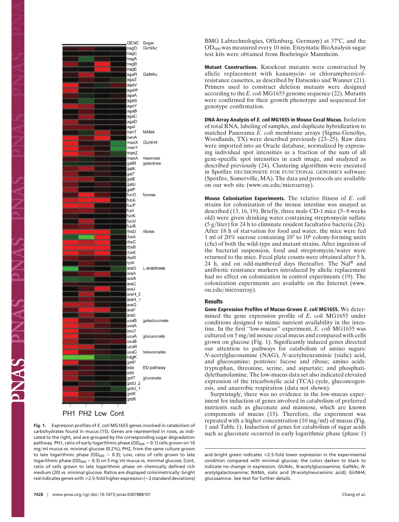

PH1 PH2 Low Cont

PNAS PN

**Fig. 1.** Expression profiles of *E. coli* MG1655 genes involved in catabolism of carbohydrates found in mucus (15). Genes are represented in rows, as indicated to the right, and are grouped by the corresponding sugar degradation pathway. PH1, ratio of early logarithmic phase ( $OD_{600} = 0.1$ ) cells grown on 10 mg/ml mucus vs. minimal glucose (0.2%); PH2, from the same culture grown to late logarithmic phase (OD<sub>600</sub> = 0.3); Low, ratio of cells grown to late logarithmic phase (OD $_{600}$  = 0.3) on 5 mg/ml mucus vs. minimal glucose; Cont, ratio of cells grown to late logarithmic phase on chemically defined rich medium (20) vs. minimal glucose. Ratios are displayed colorimetrically: bright red indicates genes with  $\geq$  2.5-fold higher expression ( $\approx$  2 standard deviations)

BMG Labtechnologies, Offenburg, Germany) at 37°C, and the OD600 was measured every 10 min. Enzymatic BioAnalysis sugar test kits were obtained from Boehringer Mannheim.

**Mutant Constructions.** Knockout mutants were constructed by allelic replacement with kanamycin- or chloramphenicolresistance cassettes, as described by Datsenko and Wanner (21). Primers used to construct deletion mutants were designed according to the *E. coli* MG1655 genome sequence (22). Mutants were confirmed for their growth phenotype and sequenced for genotype confirmation.

**DNA Array Analysis of E. coli MG1655 in Mouse Cecal Mucus.** Isolation of total RNA, labeling of samples, and duplicate hybridization to matched Panorama *E. coli* membrane arrays (Sigma-GenoSys, Woodlands, TX) were described previously (23–25). Raw data were imported into an Oracle database, normalized by expressing individual spot intensities as a fraction of the sum of all gene-specific spot intensities in each image, and analyzed as described previously (24). Clustering algorithms were executed in Spotfire DECISIONSITE FOR FUNCTIONAL GENOMICS software (Spotfire, Somerville, MA). The data and protocols are available on our web site (www.ou.edu/microarray).

**Mouse Colonization Experiments.** The relative fitness of *E*. *coli* strains for colonization of the mouse intestine was assayed as described (13, 16, 19). Briefly, three male CD-1 mice (5–8 weeks old) were given drinking water containing streptomycin sulfate  $(5 \text{ g/liter})$  for 24 h to eliminate resident facultative bacteria (26). After 18 h of starvation for food and water, the mice were fed 1 ml of 20% sucrose containing 10<sup>5</sup> to 10<sup>6</sup> colony-forming units (cfu) of both the wild-type and mutant strains. After ingestion of the bacterial suspension, food and streptomycin/water were returned to the mice. Fecal plate counts were obtained after 5 h, 24 h, and on odd-numbered days thereafter. The Nal<sup>R</sup> and antibiotic resistance markers introduced by allelic replacement had no effect on colonization in control experiments (19). The colonization experiments are available on the Internet (www. ou.edu/microarray).

#### **Results**

**Gene Expression Profiles of Mucus-Grown E. coli MG1655.** We determined the gene expression profile of *E. coli* MG1655 under conditions designed to mimic nutrient availability in the intestine. In the first ''low-mucus'' experiment, *E. coli* MG1655 was cultured on  $5 \text{ mg/ml}$  mouse cecal mucus and compared with cells grown on glucose (Fig. 1). Significantly induced genes directed our attention to pathways for catabolism of amino sugars: *N-*acetylglucosamine (NAG), *N-*acetylneuraminic (sialic) acid, and glucosamine; pentoses: fucose and ribose; amino acids: tryptophan, threonine, serine, and aspartate; and phosphatidylethanolamine. The low-mucus data set also indicated elevated expression of the tricarboxylic acid (TCA) cycle, gluconeogenesis, and anaerobic respiration (data not shown).

Surprisingly, there was no evidence in the low-mucus experiment for induction of genes involved in catabolism of preferred nutrients such as gluconate and mannose, which are known components of mucus (15). Therefore, the experiment was repeated with a higher concentration  $(10 \text{ mg/ml})$  of mucus (Fig. 1 and Table 1). Induction of genes for catabolism of sugar acids such as gluconate occurred in early logarithmic phase (phase 1)

and bright green indicates  $\leq$ 2.5-fold lower expression in the experimental condition compared with minimal glucose; the colors darken to black to indicate no change in expression. GlcNAc, *N-*acetylglucosamine; GalNAc, *N*acetylgalactosamine; NANA, sialic acid (*N*-acetylneuraminic acid); GlcNH4, glucosamine. See text for further details.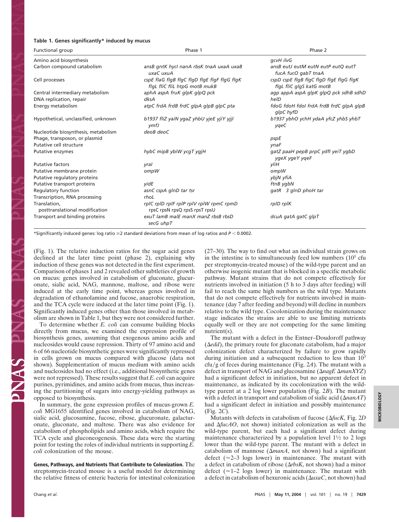#### **Table 1. Genes significantly\* induced by mucus**

| Functional group                               | Phase 1                                                                       | Phase 2                                                             |
|------------------------------------------------|-------------------------------------------------------------------------------|---------------------------------------------------------------------|
| Amino acid biosynthesis                        |                                                                               | gcvH ilvG                                                           |
| Carbon compound catabolism                     | ansB gntK hycl nanA rbsK tnaA uxaA uxaB<br>uxaC uxuA                          | ansB eutJ eutM eutN eutP eutQ eutT<br>fucA fucO gabT tnaA           |
| Cell processes                                 | cspE flaG flgB flgC flgD flgE flgF flgG flgK<br>flgL fliC fliL htpG motB mukB | cspD cspE flgB flgC flgD flgE flgG flgK<br>flgL fliC glgS katG motB |
| Central intermediary metabolism                | aphA aspA fruK glpK glpQ pck                                                  | agp appA aspA glpK glpQ pck sdhB sdhD                               |
| DNA replication, repair                        | dksA                                                                          | helD                                                                |
| Energy metabolism                              | atpC frdA frdB frdC glpA glpB glpC pta                                        | fdoG fdoH fdoI frdA frdB frdC glpA glpB<br>glpC hyfD                |
| Hypothetical, unclassified, unknown            | b1937 fliZ yaiN ygaZ yhbU yjeE yjiY yjjI<br>ymfJ                              | b1937 ybhO ychH ydaA yfcZ yhbS yhbT<br>ygeC                         |
| Nucleotide biosynthesis, metabolism            | deoB deoC                                                                     |                                                                     |
| Phage, transposon, or plasmid                  |                                                                               | pspE                                                                |
| Putative cell structure                        |                                                                               | ynaF                                                                |
| Putative enzymes                               | hybC mipB ybiW ycqT yqjH                                                      | gatZ paaH pepB prpC ydfl yeiT ygbD<br>ygeX ygeY ygeF                |
| <b>Putative factors</b>                        | yral                                                                          | vliH                                                                |
| Putative membrane protein                      | ompW                                                                          | ompW                                                                |
| Putative regulatory proteins                   |                                                                               | ybjN yfiA                                                           |
| Putative transport proteins                    | vidE                                                                          | ftnB ygbN                                                           |
| Regulatory function                            | asnC cspA glnD tar tsr                                                        | gatR 3 glnD phoH tar                                                |
| Transcription, RNA processing                  | rhoL                                                                          |                                                                     |
| Translation.<br>posttranslational modification | rpIC rpID rpIF rpIP rpIV rpIW rpmC rpmD<br>rpsC rpsN rpsQ rpsS rpsT rpsU      | rpID rpIK                                                           |
| Transport and binding proteins                 | exuT lamB malE manX manZ rbsB rbsD<br>secG uhpT                               | dcuA gatA gatC glpT                                                 |

\*Significantly induced genes: log ratio  $\geq$ 2 standard deviations from mean of log ratios and  $P$  < 0.0002.

(Fig. 1). The relative induction ratios for the sugar acid genes declined at the later time point (phase 2), explaining why induction of these genes was not detected in the first experiment. Comparison of phases 1 and 2 revealed other subtleties of growth on mucus: genes involved in catabolism of gluconate, glucuronate, sialic acid, NAG, mannose, maltose, and ribose were induced at the early time point, whereas genes involved in degradation of ethanolamine and fucose, anaerobic respiration, and the TCA cycle were induced at the later time point (Fig. 1). Significantly induced genes other than those involved in metabolism are shown in Table 1, but they were not considered further.

To determine whether *E. coli* can consume building blocks directly from mucus, we examined the expression profile of biosynthesis genes, assuming that exogenous amino acids and nucleosides would cause repression. Thirty of 97 amino acid and 6 of 66 nucleotide biosynthetic genes were significantly repressed in cells grown on mucus compared with glucose (data not shown). Supplementation of mucus medium with amino acids and nucleosides had no effect (i.e., additional biosynthetic genes were not repressed). These results suggest that *E. coli* can acquire purines, pyrimidines, and amino acids from mucus, thus increasing the partitioning of sugars into energy-yielding pathways as opposed to biosynthesis.

In summary, the gene expression profiles of mucus-grown *E. coli* MG1655 identified genes involved in catabolism of NAG, sialic acid, glucosamine, fucose, ribose, glucuronate, galacturonate, gluconate, and maltose. There was also evidence for catabolism of phospholipids and amino acids, which require the TCA cycle and gluconeogenesis. These data were the starting point for testing the roles of individual nutrients in supporting *E. coli* colonization of the mouse.

**Genes, Pathways, and Nutrients That Contribute to Colonization.** The streptomycin-treated mouse is a useful model for determining the relative fitness of enteric bacteria for intestinal colonization (27–30). The way to find out what an individual strain grows on in the intestine is to simultaneously feed low numbers  $(10<sup>5</sup>$  cfu per streptomycin-treated mouse) of the wild-type parent and an otherwise isogenic mutant that is blocked in a specific metabolic pathway. Mutant strains that do not compete effectively for nutrients involved in initiation (5 h to 3 days after feeding) will fail to reach the same high numbers as the wild type. Mutants that do not compete effectively for nutrients involved in maintenance (day 7 after feeding and beyond) will decline in numbers relative to the wild type. Cocolonization during the maintenance stage indicates the strains are able to use limiting nutrients equally well or they are not competing for the same limiting nutrient(s).

The mutant with a defect in the Entner–Doudoroff pathway  $(\Delta edd)$ , the primary route for gluconate catabolism, had a major colonization defect characterized by failure to grow rapidly during initiation and a subsequent reduction to less than  $10<sup>3</sup>$ cfu/g of feces during maintenance (Fig. 2A). The mutant with a defect in transport of NAG and glucosamine (Δ*nagE* Δ*manXYZ*) had a significant defect in initiation, but no apparent defect in maintenance, as indicated by its cocolonization with the wildtype parent at a 2 log lower population (Fig. 2*B*). The mutant with a defect in transport and catabolism of sialic acid  $(\Delta$ *nanAT*) had a significant defect in initiation and possibly maintenance (Fig. 2*C*).

Mutants with defects in catabolism of fucose (*fucK*, Fig. 2*D* and  $\Delta fucAO$ , not shown) initiated colonization as well as the wild-type parent, but each had a significant defect during maintenance characterized by a population level  $1\frac{1}{2}$  to 2 logs lower than the wild-type parent. The mutant with a defect in catabolism of mannose  $(\Delta manA, \text{not shown})$  had a significant defect ( $\approx$ 2–3 logs lower) in maintenance. The mutant with a defect in catabolism of ribose  $(\Delta rbsK)$ , not shown) had a minor defect ( $\approx$ 1–2 logs lower) in maintenance. The mutant with a defect in catabolism of hexuronic acids  $(\Delta u \, x \, a \, C, \text{not shown})$  had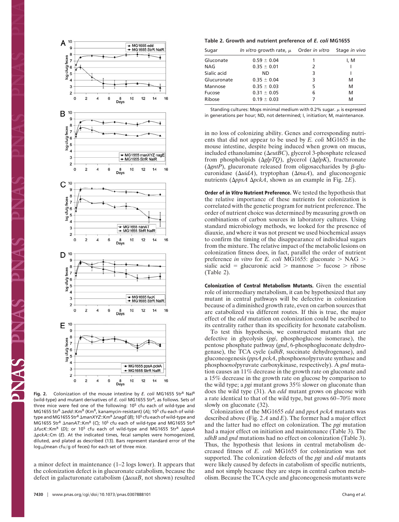

Fig. 2. Colonization of the mouse intestine by *E. coli* MG1655 StrR NalR (wild-type) and mutant derivatives of *E. coli* MG1655 Str<sup>R</sup>, as follows. Sets of three mice were fed one of the following: 10<sup>5</sup> cfu each of wild-type and MG1655 Str<sup>R</sup>  $\Delta$ edd::Km<sup>R</sup> (Km<sup>R</sup>, kanamycin-resistant) (A); 10<sup>5</sup> cfu each of wildtype and MG1655 Str<sup>R</sup> AmanXYZ::Km<sup>R</sup> AnagE (B); 10<sup>5</sup> cfu each of wild-type and MG1655 Str<sup>R</sup> ∆nanAT::Km<sup>R</sup> (C); 10<sup>5</sup> cfu each of wild-type and MG1655 Str<sup>R</sup>  $Δ$ *fucK*::Km<sup>R</sup> (D); or 10<sup>5</sup> cfu each of wild-type and MG1655 Str<sup>R</sup> ΔppsA *pckA*::Cm (*E*). At the indicated times, fecal samples were homogenized, diluted, and plated as described (13). Bars represent standard error of the  $log_{10}$ (mean cfu/g of feces) for each set of three mice.

a minor defect in maintenance (1–2 logs lower). It appears that the colonization defect is in glucuronate catabolism, because the defect in galacturonate catabolism  $(\Delta uxaB)$ , not shown) resulted

#### **Table 2. Growth and nutrient preference of** *E. coli* **MG1655**

| Sugar       | In vitro growth rate, $\mu$ | Order <i>in vitro</i> | Stage in vivo |
|-------------|-----------------------------|-----------------------|---------------|
| Gluconate   | $0.59 \pm 0.04$             | 1                     | I, M          |
| NAG         | $0.35 \pm 0.01$             | 2                     |               |
| Sialic acid | ND.                         | 3                     |               |
| Glucuronate | $0.35 \pm 0.04$             | 3                     | м             |
| Mannose     | $0.35 \pm 0.03$             | 5                     | м             |
| Fucose      | $0.31 \pm 0.05$             | 6                     | м             |
| Ribose      | $0.19 \pm 0.03$             | 7                     | м             |

Standing cultures: Mops minimal medium with 0.2% sugar.  $\mu$  is expressed in generations per hour; ND, not determined; I, initiation; M, maintenance.

in no loss of colonizing ability. Genes and corresponding nutrients that did not appear to be used by *E. coli* MG1655 in the mouse intestine, despite being induced when grown on mucus, included ethanolamine ( $\Delta eutBC$ ), glycerol 3-phosphate released from phospholipids (*glpTQ*), glycerol (*glpK*), fructuronate ( $\Delta gntP$ ), glucuronate released from oligosaccharides by  $\beta$ -glucuronidase  $(\Delta u i dA)$ , tryptophan  $(\Delta t n aA)$ , and gluconeogenic nutrients ( $\Delta p \beta A \Delta p c k A$ , shown as an example in Fig. 2*E*).

**Order of in Vitro Nutrient Preference.** We tested the hypothesis that the relative importance of these nutrients for colonization is correlated with the genetic program for nutrient preference. The order of nutrient choice was determined by measuring growth on combinations of carbon sources in laboratory cultures. Using standard microbiology methods, we looked for the presence of diauxie, and where it was not present we used biochemical assays to confirm the timing of the disappearance of individual sugars from the mixture. The relative impact of the metabolic lesions on colonization fitness does, in fact, parallel the order of nutrient preference *in vitro* for *E. coli* MG1655: gluconate  $>$  NAG  $>$ sialic acid = glucuronic acid > mannose > fucose > ribose (Table 2).

**Colonization of Central Metabolism Mutants.** Given the essential role of intermediary metabolism, it can be hypothesized that any mutant in central pathways will be defective in colonization because of a diminished growth rate, even on carbon sources that are catabolized via different routes. If this is true, the major effect of the *edd* mutation on colonization could be ascribed to its centrality rather than its specificity for hexonate catabolism.

To test this hypothesis, we constructed mutants that are defective in glycolysis (*pgi*, phosphoglucose isomerase), the pentose phosphate pathway (*gnd*, 6-phosphogluconate dehydrogenase), the TCA cycle (*sdhB*, succinate dehydrogenase), and gluconeogenesis (*ppsA pckA*, phospho*enol*pyruvate synthase and phospho*enol*pyruvate carboxykinase, respectively). A *gnd* mutation causes an 11% decrease in the growth rate on gluconate and a 15% decrease in the growth rate on glucose by comparison to the wild type; a *pgi* mutant grows 35% slower on gluconate than does the wild type (31). An *edd* mutant grows on glucose with a rate identical to that of the wild type, but grows 60–70% more slowly on gluconate (32).

Colonization of the MG1655 *edd* and *ppsA pckA* mutants was described above (Fig. 2 *A* and *E*). The former had a major effect and the latter had no effect on colonization. The *pgi* mutation had a major effect on initiation and maintenance (Table 3). The *sdhB* and *gnd* mutations had no effect on colonization (Table 3). Thus, the hypothesis that lesions in central metabolism decreased fitness of *E. coli* MG1655 for colonization was not supported. The colonization defects of the *pgi* and *edd* mutants were likely caused by defects in catabolism of specific nutrients, and not simply because they are steps in central carbon metabolism. Because the TCA cycle and gluconeogenesis mutants were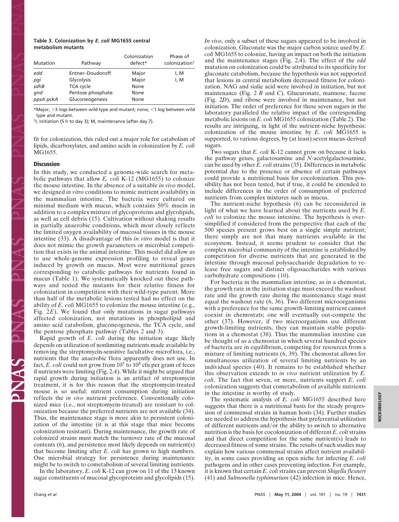#### **Table 3. Colonization by** *E. coli* **MG1655 central metabolism mutants**

| Mutation  | Pathway           | Colonization<br>defect* | Phase of<br>colonization <sup>+</sup> |
|-----------|-------------------|-------------------------|---------------------------------------|
| edd       | Entner-Doudoroff  | Major                   | I, M                                  |
| pqi       | Glycolysis        | Major                   | I, M                                  |
| sdhB      | <b>TCA</b> cycle  | None                    |                                       |
| qnd       | Pentose phosphate | None                    |                                       |
| ppsA pckA | Gluconeogenesis   | None                    |                                       |

\*Major, >3 logs between wild type and mutant; none, <1 log between wild type and mutant.

†I, initiation (5 h to day 3); M, maintenance (after day 7).

fit for colonization, this ruled out a major role for catabolism of lipids, dicarboxylates, and amino acids in colonization by *E. coli* MG1655.

#### **Discussion**

In this study, we conducted a genome-wide search for metabolic pathways that allow *E. coli* K-12 (MG1655) to colonize the mouse intestine. In the absence of a suitable *in vivo* model, we designed *in vitro* conditions to mimic nutrient availability in the mammalian intestine. The bacteria were cultured on minimal medium with mucus, which contains 50% mucin in addition to a complex mixture of glycoproteins and glycolipids, as well as cell debris (15). Cultivation without shaking results in partially anaerobic conditions, which most closely reflects the limited oxygen availability of mucosal tissues in the mouse intestine (33). A disadvantage of this *in vitro* model is that it does not mimic the growth parameters or microbial competition that exists in the animal intestine. This model did allow us to use whole-genome expression profiling to reveal genes induced by growth on mucus. Most were nutritional genes corresponding to catabolic pathways for nutrients found in mucus (Table 1). We systematically knocked out these pathways and tested the mutants for their relative fitness for colonization in competition with their wild-type parent. More than half of the metabolic lesions tested had no effect on the ability of *E. coli* MG1655 to colonize the mouse intestine (e.g., Fig. 2*E*). We found that only mutations in sugar pathways affected colonization, not mutations in phospholipid and amino acid catabolism, gluconeogenesis, the TCA cycle, and the pentose phosphate pathway (Tables 2 and 3).

Rapid growth of *E. coli* during the initiation stage likely depends on utilization of nonlimiting nutrients made available by removing the streptomycin-sensitive facultative microflora, i.e., nutrients that the anaerobic flora apparently does not use. In fact,  $E.$  *coli* could not grow from  $10<sup>5</sup>$  to  $10<sup>8</sup>$  cfu per gram of feces if nutrients were limiting (Fig. 2*A*). While it might be argued that rapid growth during initiation is an artifact of streptomycin treatment, it is for this reason that the streptomycin-treated mouse is so useful: nutrient consumption during initiation reflects the *in vivo* nutrient preference. Conventionally colonized mice (i.e., not streptomycin-treated) are resistant to colonization because the preferred nutrients are not available (34). Thus, the maintenance stage is more akin to persistent colonization of the intestine (it is at this stage that mice become colonization resistant). During maintenance, the growth rate of colonized strains must match the turnover rate of the mucosal contents (6), and persistence most likely depends on nutrient(s) that become limiting after *E. coli* has grown to high numbers. One microbial strategy for persistence during maintenance might be to switch to cometabolism of several limiting nutrients.

In the laboratory, *E. coli* K-12 can grow on 11 of the 13 known sugar constituents of mucosal glycoproteins and glycolipids (15). *In vivo*, only a subset of these sugars appeared to be involved in colonization. Gluconate was the major carbon source used by *E. coli* MG1655 to colonize, having an impact on both the initiation and the maintenance stages (Fig. 2*A*). The effect of the *edd* mutation on colonization could be attributed to its specificity for gluconate catabolism, because the hypothesis was not supported that lesions in central metabolism decreased fitness for colonization. NAG and sialic acid were involved in initiation, but not maintenance (Fig. 2 *B* and *C*). Glucuronate, mannose, fucose (Fig. 2*D*), and ribose were involved in maintenance, but not initiation. The order of preference for these seven sugars in the laboratory paralleled the relative impact of the corresponding metabolic lesions on *E. coli* MG1655 colonization (Table 2). The results are intriguing, in light of the nutrient-niche hypothesis: colonization of the mouse intestine by *E. coli* MG1655 is supported, to various degrees, by (at least) seven mucus-derived sugars.

Two sugars that *E. coli* K-12 cannot grow on because it lacks the pathway genes, galactosamine and *N-*acetylgalactosamine, can be used by other *E. coli* strains (35). Differences in metabolic potential due to the presence or absence of certain pathways could provide a nutritional basis for cocolonization. This possibility has not been tested, but if true, it could be extended to include differences in the order of consumption of preferred nutrients from complex mixtures such as mucus.

The nutrient-niche hypothesis (6) can be reconsidered in light of what we have learned about the nutrients used by *E. coli* to colonize the mouse intestine. The hypothesis is oversimplified if considered from the perspective that each of the 500 species present grows best on a single simple nutrient; there simply are not that many nutrients available in the ecosystem. Instead, it seems prudent to consider that the complex microbial community of the intestine is established by competition for diverse nutrients that are generated in the intestine through mucosal polysaccharide degradation to release free sugars and distinct oligosaccharides with various carbohydrate compositions (10).

For bacteria in the mammalian intestine, as in a chemostat, the growth rate in the initiation stage must exceed the washout rate and the growth rate during the maintenance stage must equal the washout rate (6, 36). Two different microorganisms with a preference for the same growth-limiting nutrient cannot coexist in chemostats; one will eventually out-compete the other (37). However, if two microorganisms use different growth-limiting nutrients, they can maintain stable populations in a chemostat (38). Thus the mammalian intestine can be thought of as a chemostat in which several hundred species of bacteria are in equilibrium, competing for resources from a mixture of limiting nutrients (6, 39). The chemostat allows for simultaneous utilization of several limiting nutrients by an individual species (40). It remains to be established whether this observation extends to *in vivo* nutrient utilization by *E. coli*. The fact that seven, or more, nutrients support *E. coli* colonization suggests that cometabolism of available nutrients in the intestine is worthy of study.

The systematic analysis of *E. coli* MG1655 described here suggests that there is a nutritional basis for the steady progression of commensal strains in human hosts (34). Further studies are needed to address the hypothesis that preferential utilization of different nutrients and/or the ability to switch to alternative nutrition is the basis for cocolonization of different *E. coli* strains and that direct competition for the same nutrient(s) leads to decreased fitness of some strains. The results of such studies may explain how various commensal strains affect nutrient availability, in some cases providing an open niche for infecting *E. coli* pathogens and in other cases preventing infection. For example, it is known that certain *E. coli* strains can prevent *Shigella flexneri* (41) and *Salmonella typhimurium* (42) infection in mice. Hence,